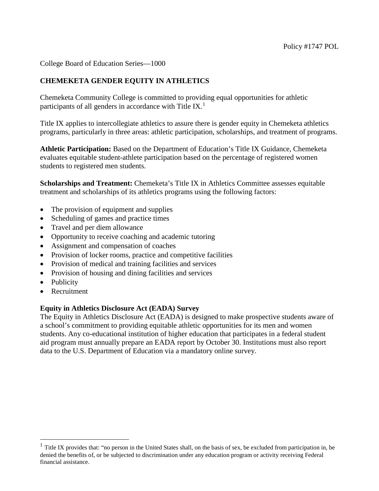College Board of Education Series—1000

## **CHEMEKETA GENDER EQUITY IN ATHLETICS**

Chemeketa Community College is committed to providing equal opportunities for athletic participants of all genders in accordance with Title IX.<sup>[1](#page-0-0)</sup>

Title IX applies to intercollegiate athletics to assure there is gender equity in Chemeketa athletics programs, particularly in three areas: athletic participation, scholarships, and treatment of programs.

**Athletic Participation:** Based on the Department of Education's Title IX Guidance, Chemeketa evaluates equitable student-athlete participation based on the percentage of registered women students to registered men students.

**Scholarships and Treatment:** Chemeketa's Title IX in Athletics Committee assesses equitable treatment and scholarships of its athletics programs using the following factors:

- The provision of equipment and supplies
- Scheduling of games and practice times
- Travel and per diem allowance
- Opportunity to receive coaching and academic tutoring
- Assignment and compensation of coaches
- Provision of locker rooms, practice and competitive facilities
- Provision of medical and training facilities and services
- Provision of housing and dining facilities and services
- Publicity

 $\overline{a}$ 

• Recruitment

## **Equity in Athletics Disclosure Act (EADA) Survey**

The Equity in Athletics Disclosure Act (EADA) is designed to make prospective students aware of a school's commitment to providing equitable athletic opportunities for its men and women students. Any co-educational institution of higher education that participates in a federal student aid program must annually prepare an EADA report by October 30. Institutions must also report data to the U.S. Department of Education via a mandatory online survey.

<span id="page-0-0"></span> $<sup>1</sup>$  Title IX provides that: "no person in the United States shall, on the basis of sex, be excluded from participation in, be</sup> denied the benefits of, or be subjected to discrimination under any education program or activity receiving Federal financial assistance.